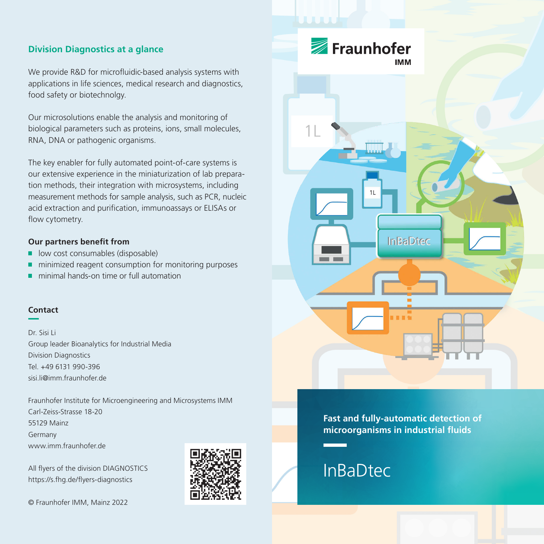# **Division Diagnostics at a glance**

We provide R&D for microfluidic-based analysis systems with applications in life sciences, medical research and diagnostics, food safety or biotechnolgy.

Our microsolutions enable the analysis and monitoring of biological parameters such as proteins, ions, small molecules, RNA, DNA or pathogenic organisms.

The key enabler for fully automated point-of-care systems is our extensive experience in the miniaturization of lab preparation methods, their integration with microsystems, including measurement methods for sample analysis, such as PCR, nucleic acid extraction and purification, immunoassays or ELISAs or flow cytometry.

#### **Our partners benefit from**

- low cost consumables (disposable)  $\blacksquare$
- $\blacksquare$  minimized reagent consumption for monitoring purposes
- minimal hands-on time or full automation п

#### **Contact**

Dr. Sisi Li Group leader Bioanalytics for Industrial Media Division Diagnostics Tel. +49 6131 990-396 sisi.li@imm.fraunhofer.de

Fraunhofer Institute for Microengineering and Microsystems IMM Carl-Zeiss-Strasse 18-20 55129 Mainz Germany www.imm.fraunhofer.de

All flyers of the division DIAGNOSTICS https://s.fhg.de/flyers-diagnostics

© Fraunhofer IMM, Mainz 2022





**Fast and fully-automatic detection of microorganisms in industrial fluids**

# **InBaDtec**